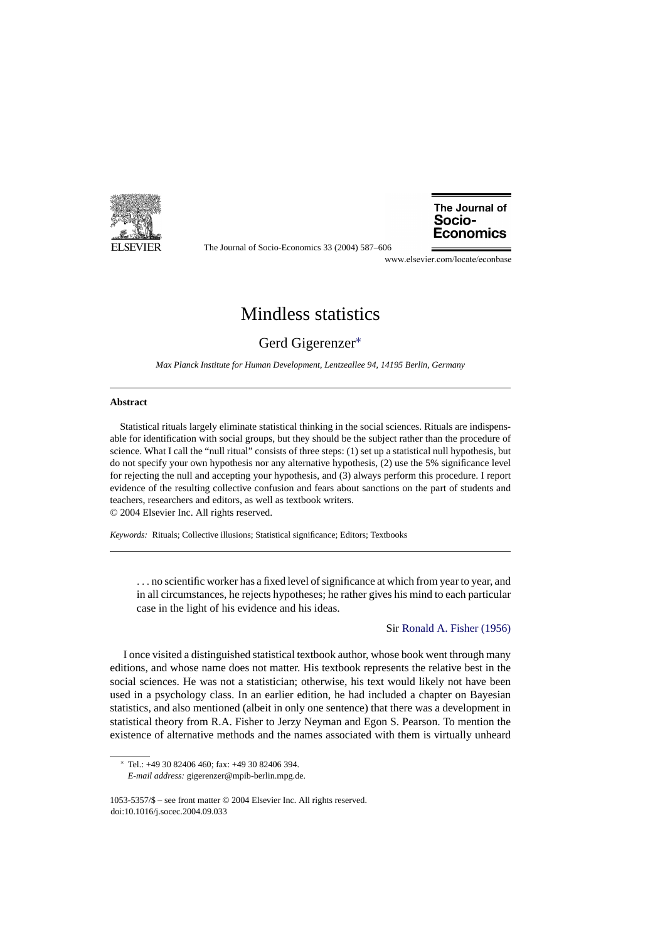

The Journal of Socio-Economics 33 (2004) 587–606

The Journal of Socio-Economics

www.elsevier.com/locate/econbase

# Mindless statistics

## Gerd Gigerenzer∗

*Max Planck Institute for Human Development, Lentzeallee 94, 14195 Berlin, Germany*

## **Abstract**

Statistical rituals largely eliminate statistical thinking in the social sciences. Rituals are indispensable for identification with social groups, but they should be the subject rather than the procedure of science. What I call the "null ritual" consists of three steps: (1) set up a statistical null hypothesis, but do not specify your own hypothesis nor any alternative hypothesis, (2) use the 5% significance level for rejecting the null and accepting your hypothesis, and (3) always perform this procedure. I report evidence of the resulting collective confusion and fears about sanctions on the part of students and teachers, researchers and editors, as well as textbook writers. © 2004 Elsevier Inc. All rights reserved.

*Keywords:* Rituals; Collective illusions; Statistical significance; Editors; Textbooks

... no scientific worker has a fixed level of significance at which from year to year, and in all circumstances, he rejects hypotheses; he rather gives his mind to each particular case in the light of his evidence and his ideas.

## Sir [Ronald A. Fisher \(1956\)](#page-17-0)

I once visited a distinguished statistical textbook author, whose book went through many editions, and whose name does not matter. His textbook represents the relative best in the social sciences. He was not a statistician; otherwise, his text would likely not have been used in a psychology class. In an earlier edition, he had included a chapter on Bayesian statistics, and also mentioned (albeit in only one sentence) that there was a development in statistical theory from R.A. Fisher to Jerzy Neyman and Egon S. Pearson. To mention the existence of alternative methods and the names associated with them is virtually unheard

<sup>∗</sup> Tel.: +49 30 82406 460; fax: +49 30 82406 394.

*E-mail address:* gigerenzer@mpib-berlin.mpg.de.

<sup>1053-5357/\$ –</sup> see front matter © 2004 Elsevier Inc. All rights reserved. doi:10.1016/j.socec.2004.09.033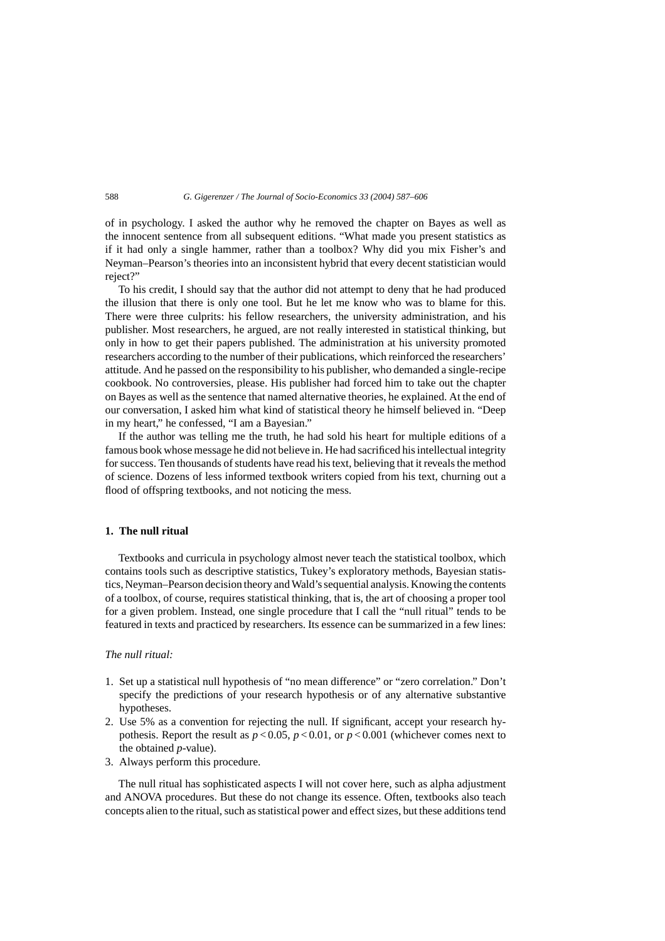of in psychology. I asked the author why he removed the chapter on Bayes as well as the innocent sentence from all subsequent editions. "What made you present statistics as if it had only a single hammer, rather than a toolbox? Why did you mix Fisher's and Neyman–Pearson's theories into an inconsistent hybrid that every decent statistician would reject?"

To his credit, I should say that the author did not attempt to deny that he had produced the illusion that there is only one tool. But he let me know who was to blame for this. There were three culprits: his fellow researchers, the university administration, and his publisher. Most researchers, he argued, are not really interested in statistical thinking, but only in how to get their papers published. The administration at his university promoted researchers according to the number of their publications, which reinforced the researchers' attitude. And he passed on the responsibility to his publisher, who demanded a single-recipe cookbook. No controversies, please. His publisher had forced him to take out the chapter on Bayes as well as the sentence that named alternative theories, he explained. At the end of our conversation, I asked him what kind of statistical theory he himself believed in. "Deep in my heart," he confessed, "I am a Bayesian."

If the author was telling me the truth, he had sold his heart for multiple editions of a famous book whose message he did not believe in. He had sacrificed his intellectual integrity for success. Ten thousands of students have read his text, believing that it reveals the method of science. Dozens of less informed textbook writers copied from his text, churning out a flood of offspring textbooks, and not noticing the mess.

#### **1. The null ritual**

Textbooks and curricula in psychology almost never teach the statistical toolbox, which contains tools such as descriptive statistics, Tukey's exploratory methods, Bayesian statistics, Neyman–Pearson decision theory and Wald's sequential analysis. Knowing the contents of a toolbox, of course, requires statistical thinking, that is, the art of choosing a proper tool for a given problem. Instead, one single procedure that I call the "null ritual" tends to be featured in texts and practiced by researchers. Its essence can be summarized in a few lines:

## *The null ritual:*

- 1. Set up a statistical null hypothesis of "no mean difference" or "zero correlation." Don't specify the predictions of your research hypothesis or of any alternative substantive hypotheses.
- 2. Use 5% as a convention for rejecting the null. If significant, accept your research hypothesis. Report the result as  $p < 0.05$ ,  $p < 0.01$ , or  $p < 0.001$  (whichever comes next to the obtained *p*-value).
- 3. Always perform this procedure.

The null ritual has sophisticated aspects I will not cover here, such as alpha adjustment and ANOVA procedures. But these do not change its essence. Often, textbooks also teach concepts alien to the ritual, such as statistical power and effect sizes, but these additions tend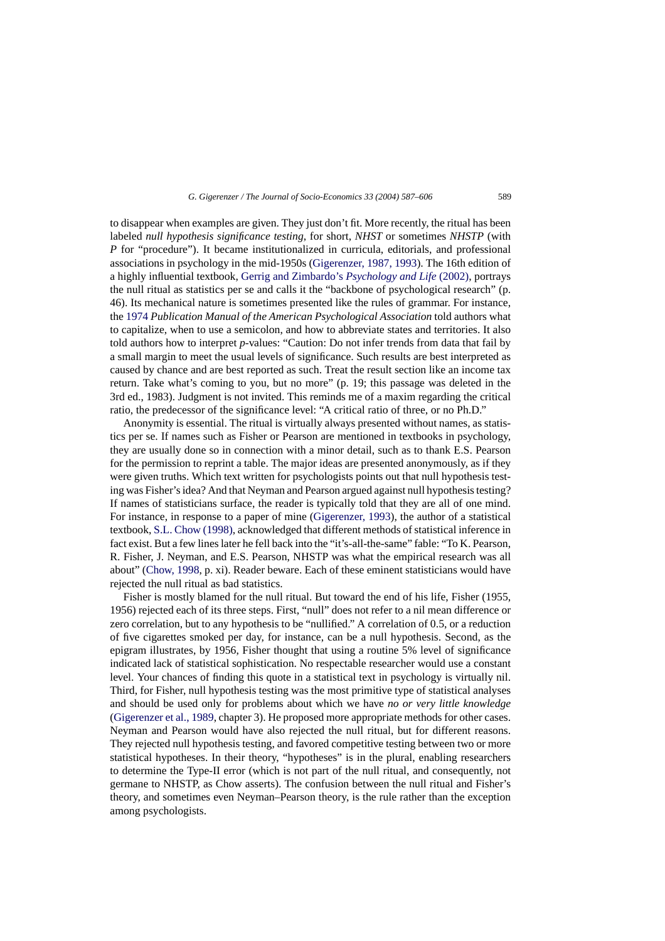to disappear when examples are given. They just don't fit. More recently, the ritual has been labeled *null hypothesis significance testing*, for short, *NHST* or sometimes *NHSTP* (with *P* for "procedure"). It became institutionalized in curricula, editorials, and professional associations in psychology in the mid-1950s ([Gigerenzer, 1987, 1993\).](#page-18-0) The 16th edition of a highly influential textbook, [Gerrig and Zimbardo's](#page-17-0) *Psychology and Life* (2002), portrays the null ritual as statistics per se and calls it the "backbone of psychological research" (p. 46). Its mechanical nature is sometimes presented like the rules of grammar. For instance, the [1974](#page-17-0) *Publication Manual of the American Psychological Association* told authors what to capitalize, when to use a semicolon, and how to abbreviate states and territories. It also told authors how to interpret *p*-values: "Caution: Do not infer trends from data that fail by a small margin to meet the usual levels of significance. Such results are best interpreted as caused by chance and are best reported as such. Treat the result section like an income tax return. Take what's coming to you, but no more" (p. 19; this passage was deleted in the 3rd ed., 1983). Judgment is not invited. This reminds me of a maxim regarding the critical ratio, the predecessor of the significance level: "A critical ratio of three, or no Ph.D."

Anonymity is essential. The ritual is virtually always presented without names, as statistics per se. If names such as Fisher or Pearson are mentioned in textbooks in psychology, they are usually done so in connection with a minor detail, such as to thank E.S. Pearson for the permission to reprint a table. The major ideas are presented anonymously, as if they were given truths. Which text written for psychologists points out that null hypothesis testing was Fisher's idea? And that Neyman and Pearson argued against null hypothesis testing? If names of statisticians surface, the reader is typically told that they are all of one mind. For instance, in response to a paper of mine ([Gigerenzer, 1993\),](#page-18-0) the author of a statistical textbook, [S.L. Chow \(1998\), a](#page-17-0)cknowledged that different methods of statistical inference in fact exist. But a few lines later he fell back into the "it's-all-the-same" fable: "To K. Pearson, R. Fisher, J. Neyman, and E.S. Pearson, NHSTP was what the empirical research was all about" ([Chow, 1998,](#page-17-0) p. xi). Reader beware. Each of these eminent statisticians would have rejected the null ritual as bad statistics.

Fisher is mostly blamed for the null ritual. But toward the end of his life, Fisher (1955, 1956) rejected each of its three steps. First, "null" does not refer to a nil mean difference or zero correlation, but to any hypothesis to be "nullified." A correlation of 0.5, or a reduction of five cigarettes smoked per day, for instance, can be a null hypothesis. Second, as the epigram illustrates, by 1956, Fisher thought that using a routine 5% level of significance indicated lack of statistical sophistication. No respectable researcher would use a constant level. Your chances of finding this quote in a statistical text in psychology is virtually nil. Third, for Fisher, null hypothesis testing was the most primitive type of statistical analyses and should be used only for problems about which we have *no or verylittle knowledge* ([Gigerenzer et al., 1989, c](#page-18-0)hapter 3). He proposed more appropriate methods for other cases. Neyman and Pearson would have also rejected the null ritual, but for different reasons. They rejected null hypothesis testing, and favored competitive testing between two or more statistical hypotheses. In their theory, "hypotheses" is in the plural, enabling researchers to determine the Type-II error (which is not part of the null ritual, and consequently, not germane to NHSTP, as Chow asserts). The confusion between the null ritual and Fisher's theory, and sometimes even Neyman–Pearson theory, is the rule rather than the exception among psychologists.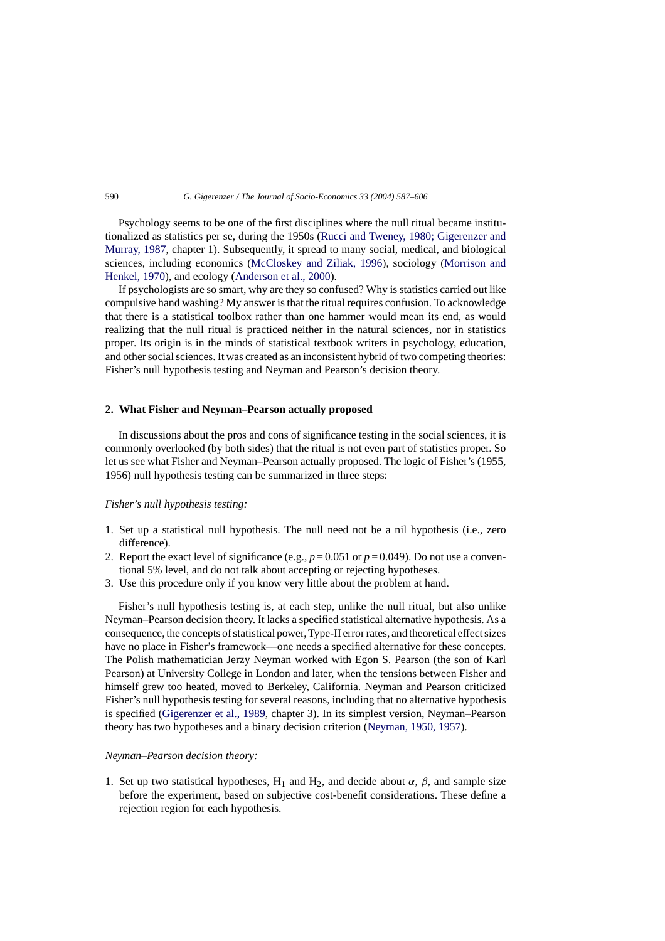Psychology seems to be one of the first disciplines where the null ritual became institutionalized as statistics per se, during the 1950s ([Rucci and Tweney, 1980; Gigerenzer and](#page-19-0) [Murray, 1987,](#page-19-0) chapter 1). Subsequently, it spread to many social, medical, and biological sciences, including economics ([McCloskey and Ziliak, 1996\)](#page-18-0), sociology ([Morrison and](#page-18-0) [Henkel, 1970\),](#page-18-0) and ecology [\(Anderson et al., 2000\).](#page-17-0)

If psychologists are so smart, why are they so confused? Why is statistics carried out like compulsive hand washing? My answer is that the ritual requires confusion. To acknowledge that there is a statistical toolbox rather than one hammer would mean its end, as would realizing that the null ritual is practiced neither in the natural sciences, nor in statistics proper. Its origin is in the minds of statistical textbook writers in psychology, education, and other social sciences. It was created as an inconsistent hybrid of two competing theories: Fisher's null hypothesis testing and Neyman and Pearson's decision theory.

#### **2. What Fisher and Neyman–Pearson actually proposed**

In discussions about the pros and cons of significance testing in the social sciences, it is commonly overlooked (by both sides) that the ritual is not even part of statistics proper. So let us see what Fisher and Neyman–Pearson actually proposed. The logic of Fisher's (1955, 1956) null hypothesis testing can be summarized in three steps:

## *Fisher's null hypothesis testing:*

- 1. Set up a statistical null hypothesis. The null need not be a nil hypothesis (i.e., zero difference).
- 2. Report the exact level of significance (e.g.,  $p = 0.051$  or  $p = 0.049$ ). Do not use a conventional 5% level, and do not talk about accepting or rejecting hypotheses.
- 3. Use this procedure only if you know very little about the problem at hand.

Fisher's null hypothesis testing is, at each step, unlike the null ritual, but also unlike Neyman–Pearson decision theory. It lacks a specified statistical alternative hypothesis. As a consequence, the concepts of statistical power, Type-II error rates, and theoretical effect sizes have no place in Fisher's framework––one needs a specified alternative for these concepts. The Polish mathematician Jerzy Neyman worked with Egon S. Pearson (the son of Karl Pearson) at University College in London and later, when the tensions between Fisher and himself grew too heated, moved to Berkeley, California. Neyman and Pearson criticized Fisher's null hypothesis testing for several reasons, including that no alternative hypothesis is specified [\(Gigerenzer et al., 1989,](#page-18-0) chapter 3). In its simplest version, Neyman–Pearson theory has two hypotheses and a binary decision criterion ([Neyman, 1950, 1957\).](#page-18-0)

## *Neyman–Pearson decision theory:*

1. Set up two statistical hypotheses,  $H_1$  and  $H_2$ , and decide about  $\alpha$ ,  $\beta$ , and sample size before the experiment, based on subjective cost-benefit considerations. These define a rejection region for each hypothesis.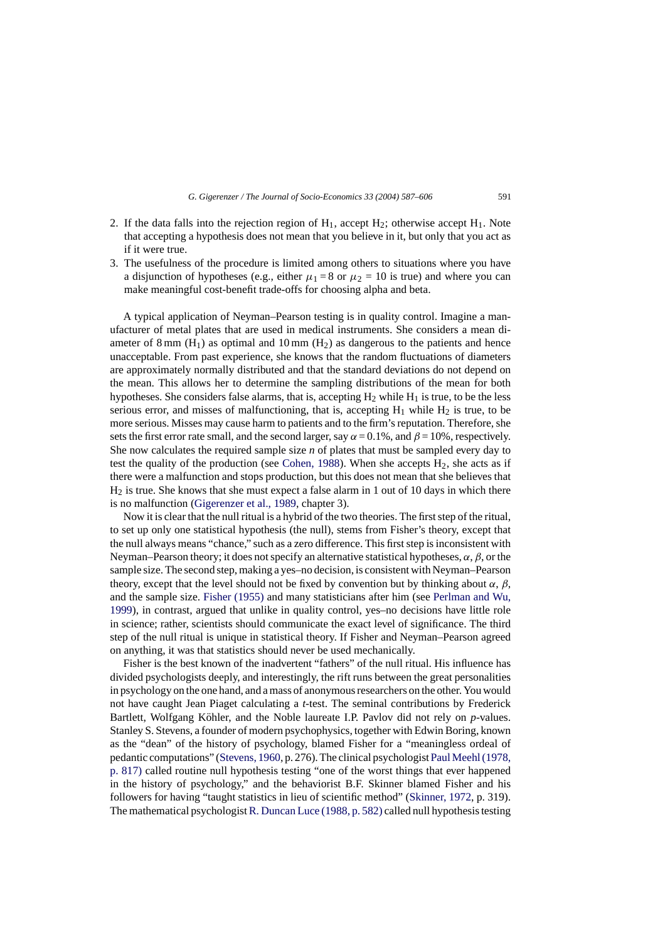- 2. If the data falls into the rejection region of  $H_1$ , accept  $H_2$ ; otherwise accept  $H_1$ . Note that accepting a hypothesis does not mean that you believe in it, but only that you act as if it were true.
- 3. The usefulness of the procedure is limited among others to situations where you have a disjunction of hypotheses (e.g., either  $\mu_1 = 8$  or  $\mu_2 = 10$  is true) and where you can make meaningful cost-benefit trade-offs for choosing alpha and beta.

A typical application of Neyman–Pearson testing is in quality control. Imagine a manufacturer of metal plates that are used in medical instruments. She considers a mean diameter of  $8 \text{ mm}$  (H<sub>1</sub>) as optimal and  $10 \text{ mm}$  (H<sub>2</sub>) as dangerous to the patients and hence unacceptable. From past experience, she knows that the random fluctuations of diameters are approximately normally distributed and that the standard deviations do not depend on the mean. This allows her to determine the sampling distributions of the mean for both hypotheses. She considers false alarms, that is, accepting  $H_2$  while  $H_1$  is true, to be the less serious error, and misses of malfunctioning, that is, accepting  $H_1$  while  $H_2$  is true, to be more serious. Misses may cause harm to patients and to the firm's reputation. Therefore, she sets the first error rate small, and the second larger, say  $\alpha = 0.1\%$ , and  $\beta = 10\%$ , respectively. She now calculates the required sample size *n* of plates that must be sampled every day to test the quality of the production (see [Cohen, 1988\).](#page-17-0) When she accepts  $H_2$ , she acts as if there were a malfunction and stops production, but this does not mean that she believes that  $H_2$  is true. She knows that she must expect a false alarm in 1 out of 10 days in which there is no malfunction ([Gigerenzer et al., 1989, c](#page-18-0)hapter 3).

Now it is clear that the null ritual is a hybrid of the two theories. The first step of the ritual, to set up only one statistical hypothesis (the null), stems from Fisher's theory, except that the null always means "chance," such as a zero difference. This first step is inconsistent with Neyman–Pearson theory; it does not specify an alternative statistical hypotheses,  $\alpha$ ,  $\beta$ , or the sample size. The second step, making a yes–no decision, is consistent with Neyman–Pearson theory, except that the level should not be fixed by convention but by thinking about  $\alpha$ ,  $\beta$ , and the sample size. [Fisher \(1955\)](#page-17-0) and many statisticians after him (see [Perlman and Wu,](#page-18-0) [1999\),](#page-18-0) in contrast, argued that unlike in quality control, yes–no decisions have little role in science; rather, scientists should communicate the exact level of significance. The third step of the null ritual is unique in statistical theory. If Fisher and Neyman–Pearson agreed on anything, it was that statistics should never be used mechanically.

Fisher is the best known of the inadvertent "fathers" of the null ritual. His influence has divided psychologists deeply, and interestingly, the rift runs between the great personalities in psychology on the one hand, and a mass of anonymous researchers on the other. You would not have caught Jean Piaget calculating a *t*-test. The seminal contributions by Frederick Bartlett, Wolfgang Köhler, and the Noble laureate I.P. Pavlov did not rely on *p*-values. Stanley S. Stevens, a founder of modern psychophysics, together with Edwin Boring, known as the "dean" of the history of psychology, blamed Fisher for a "meaningless ordeal of pedantic computations" ([Stevens, 1960, p](#page-19-0). 276). The clinical psychologist [Paul Meehl \(1978,](#page-18-0) [p. 817\)](#page-18-0) called routine null hypothesis testing "one of the worst things that ever happened in the history of psychology," and the behaviorist B.F. Skinner blamed Fisher and his followers for having "taught statistics in lieu of scientific method" [\(Skinner, 1972, p](#page-19-0). 319). The mathematical psychologist[R. Duncan Luce \(1988, p. 582\)](#page-18-0) called null hypothesis testing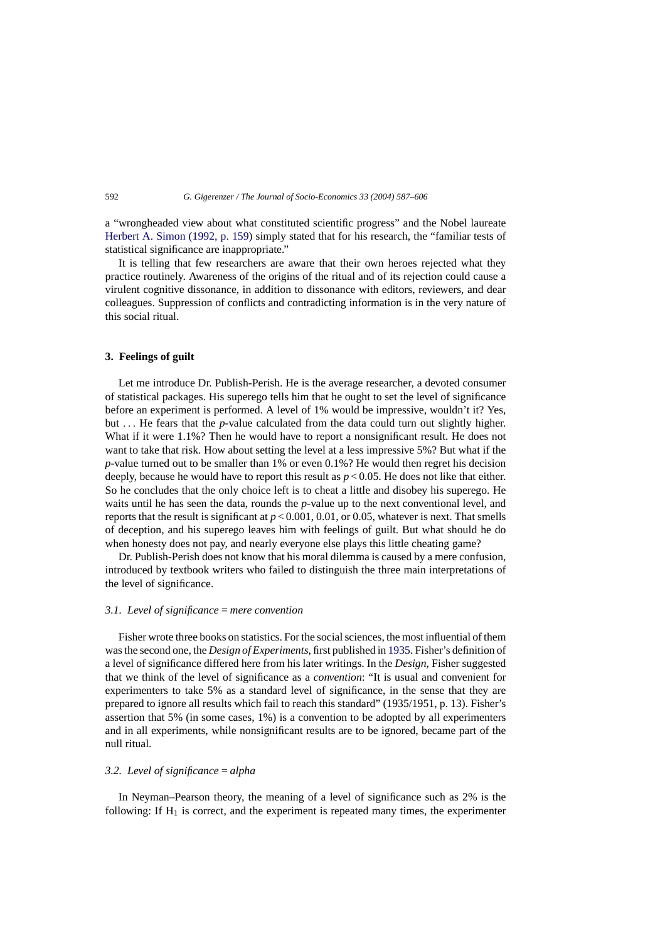a "wrongheaded view about what constituted scientific progress" and the Nobel laureate [Herbert A. Simon \(1992, p. 159\)](#page-19-0) simply stated that for his research, the "familiar tests of statistical significance are inappropriate."

It is telling that few researchers are aware that their own heroes rejected what they practice routinely. Awareness of the origins of the ritual and of its rejection could cause a virulent cognitive dissonance, in addition to dissonance with editors, reviewers, and dear colleagues. Suppression of conflicts and contradicting information is in the very nature of this social ritual.

## **3. Feelings of guilt**

Let me introduce Dr. Publish-Perish. He is the average researcher, a devoted consumer of statistical packages. His superego tells him that he ought to set the level of significance before an experiment is performed. A level of 1% would be impressive, wouldn't it? Yes, but ... He fears that the *p*-value calculated from the data could turn out slightly higher. What if it were 1.1%? Then he would have to report a nonsignificant result. He does not want to take that risk. How about setting the level at a less impressive 5%? But what if the *p*-value turned out to be smaller than 1% or even 0.1%? He would then regret his decision deeply, because he would have to report this result as  $p < 0.05$ . He does not like that either. So he concludes that the only choice left is to cheat a little and disobey his superego. He waits until he has seen the data, rounds the *p*-value up to the next conventional level, and reports that the result is significant at  $p < 0.001$ , 0.01, or 0.05, whatever is next. That smells of deception, and his superego leaves him with feelings of guilt. But what should he do when honesty does not pay, and nearly everyone else plays this little cheating game?

Dr. Publish-Perish does not know that his moral dilemma is caused by a mere confusion, introduced by textbook writers who failed to distinguish the three main interpretations of the level of significance.

## *3.1. Level of significance = mere convention*

Fisher wrote three books on statistics. For the social sciences, the most influential of them was the second one, the *Design of Experiments*, first published in [1935. F](#page-17-0)isher's definition of a level of significance differed here from his later writings. In the *Design*, Fisher suggested that we think of the level of significance as a *convention*: "It is usual and convenient for experimenters to take 5% as a standard level of significance, in the sense that they are prepared to ignore all results which fail to reach this standard" (1935/1951, p. 13). Fisher's assertion that 5% (in some cases, 1%) is a convention to be adopted by all experimenters and in all experiments, while nonsignificant results are to be ignored, became part of the null ritual.

### *3.2. Level of significance = alpha*

In Neyman–Pearson theory, the meaning of a level of significance such as 2% is the following: If  $H_1$  is correct, and the experiment is repeated many times, the experimenter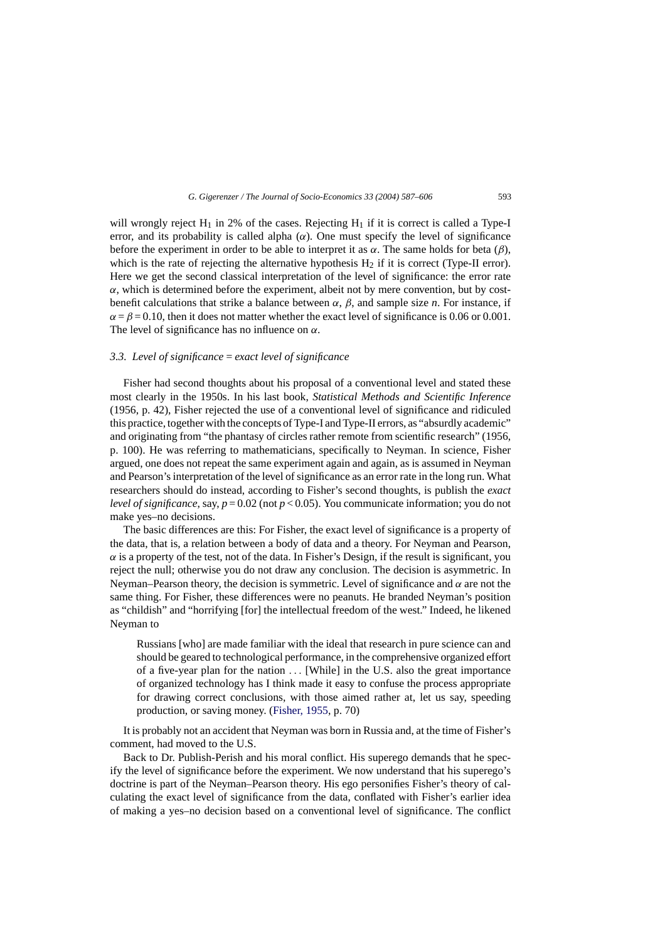will wrongly reject  $H_1$  in 2% of the cases. Rejecting  $H_1$  if it is correct is called a Type-I error, and its probability is called alpha  $(\alpha)$ . One must specify the level of significance before the experiment in order to be able to interpret it as  $\alpha$ . The same holds for beta ( $\beta$ ), which is the rate of rejecting the alternative hypothesis  $H_2$  if it is correct (Type-II error). Here we get the second classical interpretation of the level of significance: the error rate  $\alpha$ , which is determined before the experiment, albeit not by mere convention, but by costbenefit calculations that strike a balance between  $\alpha$ ,  $\beta$ , and sample size *n*. For instance, if  $\alpha = \beta = 0.10$ , then it does not matter whether the exact level of significance is 0.06 or 0.001. The level of significance has no influence on  $\alpha$ .

#### *3.3. Level of significance = exact level of significance*

Fisher had second thoughts about his proposal of a conventional level and stated these most clearly in the 1950s. In his last book, *Statistical Methods and Scientific Inference* (1956, p. 42), Fisher rejected the use of a conventional level of significance and ridiculed this practice, together with the concepts of Type-I and Type-II errors, as "absurdly academic" and originating from "the phantasy of circles rather remote from scientific research" (1956, p. 100). He was referring to mathematicians, specifically to Neyman. In science, Fisher argued, one does not repeat the same experiment again and again, as is assumed in Neyman and Pearson's interpretation of the level of significance as an error rate in the long run. What researchers should do instead, according to Fisher's second thoughts, is publish the *exact level of significance*, say, *p* = 0.02 (not *p* < 0.05). You communicate information; you do not make yes–no decisions.

The basic differences are this: For Fisher, the exact level of significance is a property of the data, that is, a relation between a body of data and a theory. For Neyman and Pearson,  $\alpha$  is a property of the test, not of the data. In Fisher's Design, if the result is significant, you reject the null; otherwise you do not draw any conclusion. The decision is asymmetric. In Neyman–Pearson theory, the decision is symmetric. Level of significance and  $\alpha$  are not the same thing. For Fisher, these differences were no peanuts. He branded Neyman's position as "childish" and "horrifying [for] the intellectual freedom of the west." Indeed, he likened Neyman to

Russians [who] are made familiar with the ideal that research in pure science can and should be geared to technological performance, in the comprehensive organized effort of a five-year plan for the nation ... [While] in the U.S. also the great importance of organized technology has I think made it easy to confuse the process appropriate for drawing correct conclusions, with those aimed rather at, let us say, speeding production, or saving money. [\(Fisher, 1955, p](#page-17-0). 70)

It is probably not an accident that Neyman was born in Russia and, at the time of Fisher's comment, had moved to the U.S.

Back to Dr. Publish-Perish and his moral conflict. His superego demands that he specify the level of significance before the experiment. We now understand that his superego's doctrine is part of the Neyman–Pearson theory. His ego personifies Fisher's theory of calculating the exact level of significance from the data, conflated with Fisher's earlier idea of making a yes–no decision based on a conventional level of significance. The conflict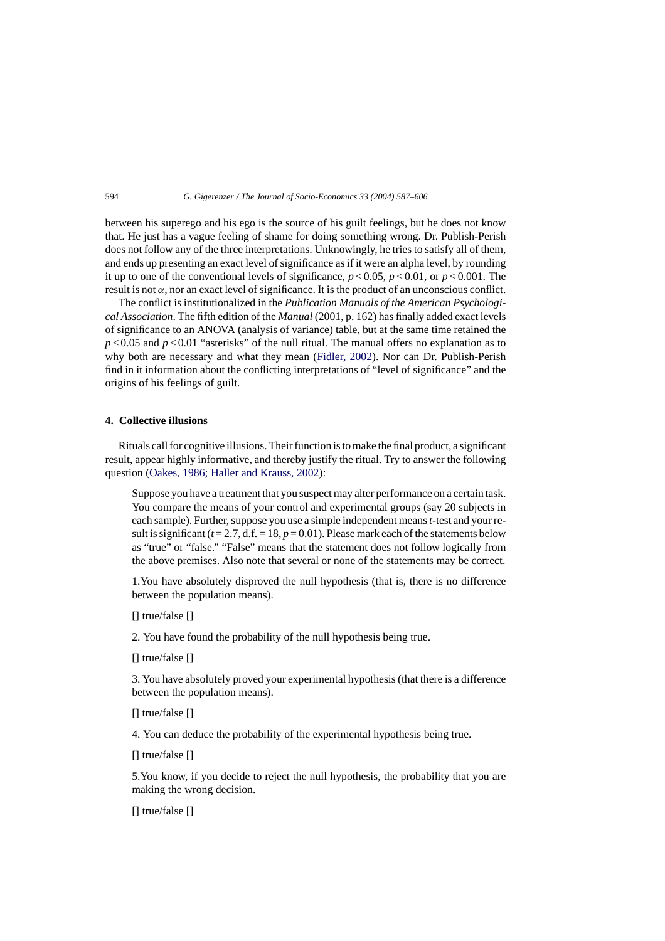between his superego and his ego is the source of his guilt feelings, but he does not know that. He just has a vague feeling of shame for doing something wrong. Dr. Publish-Perish does not follow any of the three interpretations. Unknowingly, he tries to satisfy all of them, and ends up presenting an exact level of significance as if it were an alpha level, by rounding it up to one of the conventional levels of significance,  $p < 0.05$ ,  $p < 0.01$ , or  $p < 0.001$ . The result is not  $\alpha$ , nor an exact level of significance. It is the product of an unconscious conflict.

The conflict is institutionalized in the *Publication Manuals of the American Psychological Association*. The fifth edition of the *Manual* (2001, p. 162) has finally added exact levels of significance to an ANOVA (analysis of variance) table, but at the same time retained the *p* < 0.05 and *p* < 0.01 "asterisks" of the null ritual. The manual offers no explanation as to why both are necessary and what they mean ([Fidler, 2002\).](#page-17-0) Nor can Dr. Publish-Perish find in it information about the conflicting interpretations of "level of significance" and the origins of his feelings of guilt.

## **4. Collective illusions**

Rituals call for cognitive illusions. Their function is to make the final product, a significant result, appear highly informative, and thereby justify the ritual. Try to answer the following question ([Oakes, 1986; Haller and Krauss, 2002\):](#page-18-0)

Suppose you have a treatment that you suspect may alter performance on a certain task. You compare the means of your control and experimental groups (say 20 subjects in each sample). Further, suppose you use a simple independent means*t*-test and your result is significant  $(t=2.7, d.f. = 18, p=0.01)$ . Please mark each of the statements below as "true" or "false." "False" means that the statement does not follow logically from the above premises. Also note that several or none of the statements may be correct.

1.You have absolutely disproved the null hypothesis (that is, there is no difference between the population means).

[] true/false []

2. You have found the probability of the null hypothesis being true.

[] true/false []

3. You have absolutely proved your experimental hypothesis (that there is a difference between the population means).

[] true/false []

4. You can deduce the probability of the experimental hypothesis being true.

[] true/false []

5.You know, if you decide to reject the null hypothesis, the probability that you are making the wrong decision.

[] true/false []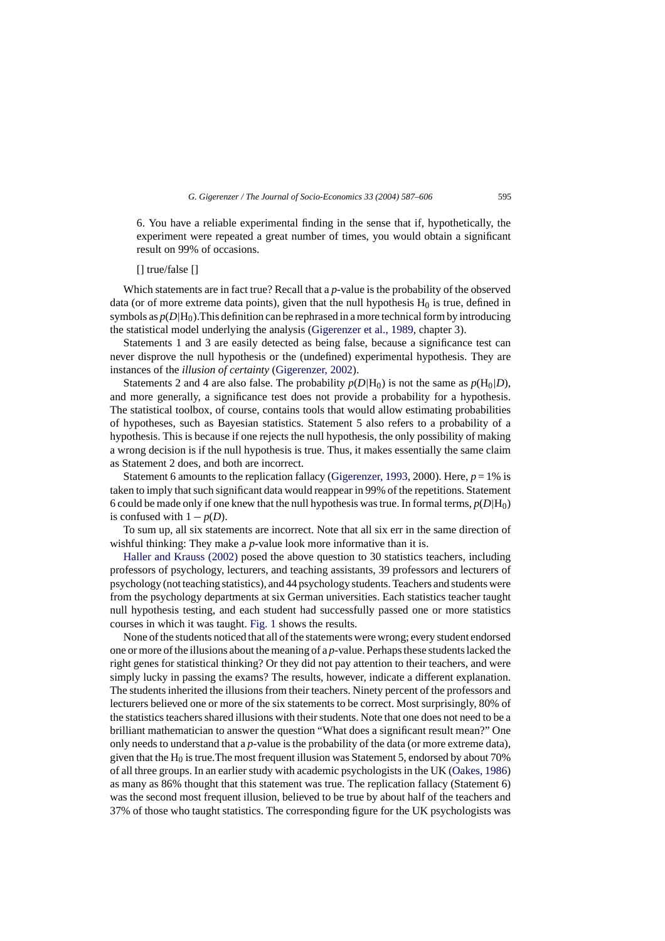6. You have a reliable experimental finding in the sense that if, hypothetically, the experiment were repeated a great number of times, you would obtain a significant result on 99% of occasions.

[] true/false []

Which statements are in fact true? Recall that a *p*-value is the probability of the observed data (or of more extreme data points), given that the null hypothesis  $H_0$  is true, defined in symbols as  $p(D|H_0)$ . This definition can be rephrased in a more technical form by introducing the statistical model underlying the analysis ([Gigerenzer et al., 1989, c](#page-18-0)hapter 3).

Statements 1 and 3 are easily detected as being false, because a significance test can never disprove the null hypothesis or the (undefined) experimental hypothesis. They are instances of the *illusion of certainty* ([Gigerenzer, 2002\).](#page-18-0)

Statements 2 and 4 are also false. The probability  $p(D|H_0)$  is not the same as  $p(H_0|D)$ , and more generally, a significance test does not provide a probability for a hypothesis. The statistical toolbox, of course, contains tools that would allow estimating probabilities of hypotheses, such as Bayesian statistics. Statement 5 also refers to a probability of a hypothesis. This is because if one rejects the null hypothesis, the only possibility of making a wrong decision is if the null hypothesis is true. Thus, it makes essentially the same claim as Statement 2 does, and both are incorrect.

Statement 6 amounts to the replication fallacy [\(Gigerenzer, 1993, 2](#page-18-0)000). Here,  $p = 1\%$  is taken to imply that such significant data would reappear in 99% of the repetitions. Statement 6 could be made only if one knew that the null hypothesis was true. In formal terms,  $p(D|H_0)$ is confused with  $1 - p(D)$ .

To sum up, all six statements are incorrect. Note that all six err in the same direction of wishful thinking: They make a *p*-value look more informative than it is.

[Haller and Krauss \(2002\)](#page-18-0) posed the above question to 30 statistics teachers, including professors of psychology, lecturers, and teaching assistants, 39 professors and lecturers of psychology (not teaching statistics), and 44 psychology students. Teachers and students were from the psychology departments at six German universities. Each statistics teacher taught null hypothesis testing, and each student had successfully passed one or more statistics courses in which it was taught. [Fig. 1](#page-9-0) shows the results.

None of the students noticed that all of the statements were wrong; every student endorsed one or more of the illusions about the meaning of a *p*-value. Perhaps these students lacked the right genes for statistical thinking? Or they did not pay attention to their teachers, and were simply lucky in passing the exams? The results, however, indicate a different explanation. The students inherited the illusions from their teachers. Ninety percent of the professors and lecturers believed one or more of the six statements to be correct. Most surprisingly, 80% of the statistics teachers shared illusions with their students. Note that one does not need to be a brilliant mathematician to answer the question "What does a significant result mean?" One only needs to understand that a *p*-value is the probability of the data (or more extreme data), given that the  $H_0$  is true. The most frequent illusion was Statement 5, endorsed by about 70% of all three groups. In an earlier study with academic psychologists in the UK ([Oakes, 1986\)](#page-18-0) as many as 86% thought that this statement was true. The replication fallacy (Statement 6) was the second most frequent illusion, believed to be true by about half of the teachers and 37% of those who taught statistics. The corresponding figure for the UK psychologists was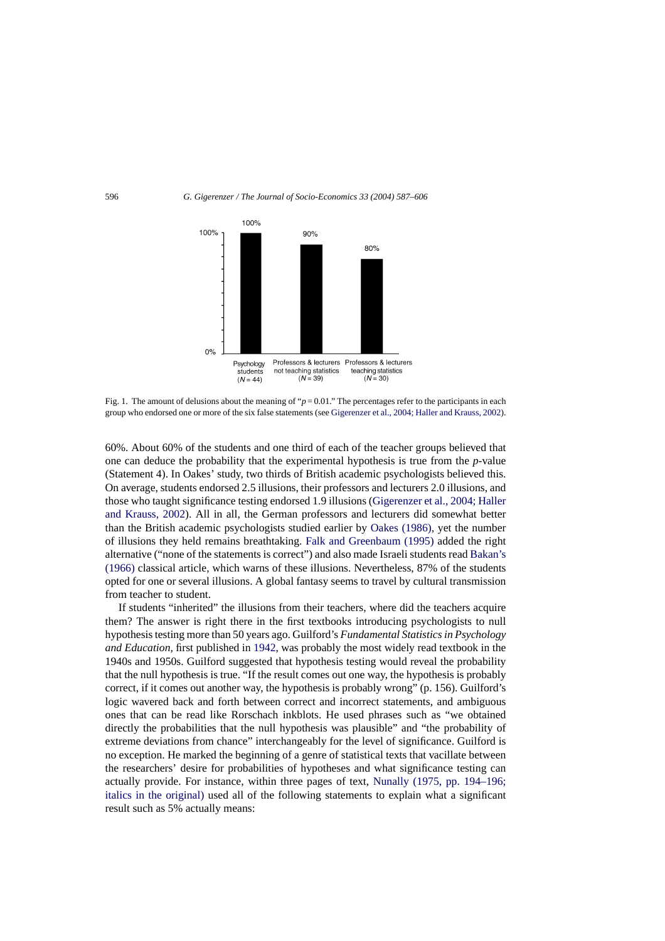<span id="page-9-0"></span>

Fig. 1. The amount of delusions about the meaning of " $p = 0.01$ ." The percentages refer to the participants in each group who endorsed one or more of the six false statements (see [Gigerenzer et al., 2004; Haller and Krauss, 2002\).](#page-18-0)

60%. About 60% of the students and one third of each of the teacher groups believed that one can deduce the probability that the experimental hypothesis is true from the *p*-value (Statement 4). In Oakes' study, two thirds of British academic psychologists believed this. On average, students endorsed 2.5 illusions, their professors and lecturers 2.0 illusions, and those who taught significance testing endorsed 1.9 illusions [\(Gigerenzer et al., 2004; Haller](#page-18-0) [and Krauss, 2002\).](#page-18-0) All in all, the German professors and lecturers did somewhat better than the British academic psychologists studied earlier by [Oakes \(1986\),](#page-18-0) yet the number of illusions they held remains breathtaking. [Falk and Greenbaum \(1995\)](#page-17-0) added the right alternative ("none of the statements is correct") and also made Israeli students read [Bakan's](#page-17-0) [\(1966\)](#page-17-0) classical article, which warns of these illusions. Nevertheless, 87% of the students opted for one or several illusions. A global fantasy seems to travel by cultural transmission from teacher to student.

If students "inherited" the illusions from their teachers, where did the teachers acquire them? The answer is right there in the first textbooks introducing psychologists to null hypothesis testing more than 50 years ago. Guilford's *Fundamental Statistics in Psychology and Education,* first published in [1942, w](#page-18-0)as probably the most widely read textbook in the 1940s and 1950s. Guilford suggested that hypothesis testing would reveal the probability that the null hypothesis is true. "If the result comes out one way, the hypothesis is probably correct, if it comes out another way, the hypothesis is probably wrong" (p. 156). Guilford's logic wavered back and forth between correct and incorrect statements, and ambiguous ones that can be read like Rorschach inkblots. He used phrases such as "we obtained directly the probabilities that the null hypothesis was plausible" and "the probability of extreme deviations from chance" interchangeably for the level of significance. Guilford is no exception. He marked the beginning of a genre of statistical texts that vacillate between the researchers' desire for probabilities of hypotheses and what significance testing can actually provide. For instance, within three pages of text, [Nunally \(1975, pp. 194–196;](#page-18-0) [italics in the original\)](#page-18-0) used all of the following statements to explain what a significant result such as 5% actually means: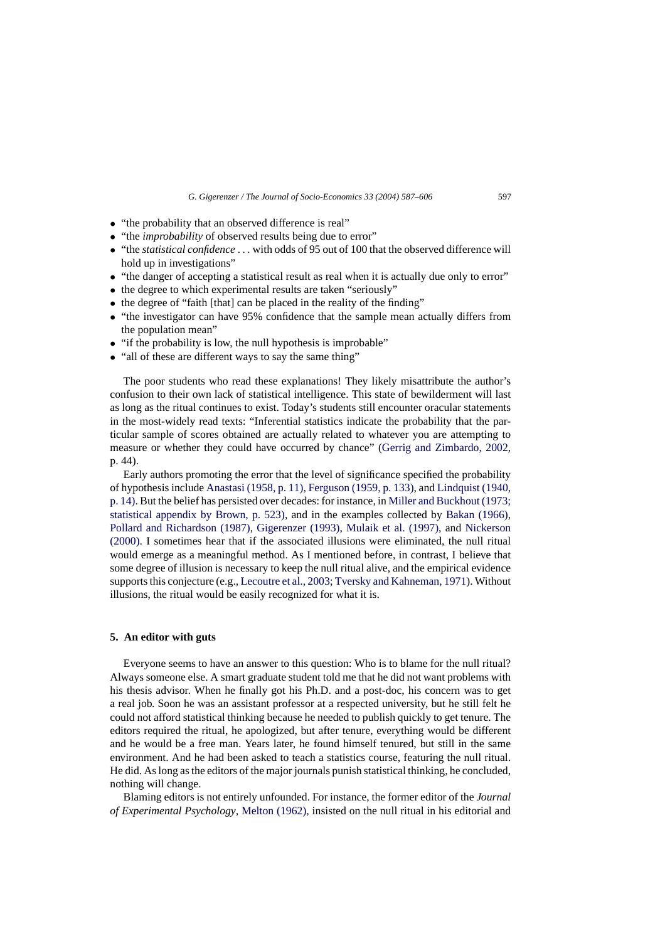- "the probability that an observed difference is real"
- "the *improbability* of observed results being due to error"
- "the *statistical confidence* ... with odds of 95 out of 100 that the observed difference will hold up in investigations"
- "the danger of accepting a statistical result as real when it is actually due only to error"
- the degree to which experimental results are taken "seriously"
- the degree of "faith [that] can be placed in the reality of the finding"
- "the investigator can have 95% confidence that the sample mean actually differs from the population mean"
- "if the probability is low, the null hypothesis is improbable"
- "all of these are different ways to say the same thing"

The poor students who read these explanations! They likely misattribute the author's confusion to their own lack of statistical intelligence. This state of bewilderment will last as long as the ritual continues to exist. Today's students still encounter oracular statements in the most-widely read texts: "Inferential statistics indicate the probability that the particular sample of scores obtained are actually related to whatever you are attempting to measure or whether they could have occurred by chance" ([Gerrig and Zimbardo, 2002,](#page-17-0) p. 44).

Early authors promoting the error that the level of significance specified the probability of hypothesis include [Anastasi \(1958, p. 11\),](#page-17-0) [Ferguson \(1959, p. 133\), a](#page-17-0)nd [Lindquist \(1940,](#page-18-0) [p. 14\). B](#page-18-0)ut the belief has persisted over decades: for instance, in [Miller and Buckhout \(1973;](#page-18-0) [statistical appendix by Brown, p. 523\),](#page-18-0) and in the examples collected by [Bakan \(1966\),](#page-17-0) [Pollard and Richardson \(1987\),](#page-19-0) [Gigerenzer \(1993\),](#page-18-0) [Mulaik et al. \(1997\),](#page-18-0) and [Nickerson](#page-18-0) [\(2000\).](#page-18-0) I sometimes hear that if the associated illusions were eliminated, the null ritual would emerge as a meaningful method. As I mentioned before, in contrast, I believe that some degree of illusion is necessary to keep the null ritual alive, and the empirical evidence supports this conjecture (e.g., [Lecoutre et al., 2003; Tversky and Kahneman, 1971\). W](#page-18-0)ithout illusions, the ritual would be easily recognized for what it is.

### **5. An editor with guts**

Everyone seems to have an answer to this question: Who is to blame for the null ritual? Always someone else. A smart graduate student told me that he did not want problems with his thesis advisor. When he finally got his Ph.D. and a post-doc, his concern was to get a real job. Soon he was an assistant professor at a respected university, but he still felt he could not afford statistical thinking because he needed to publish quickly to get tenure. The editors required the ritual, he apologized, but after tenure, everything would be different and he would be a free man. Years later, he found himself tenured, but still in the same environment. And he had been asked to teach a statistics course, featuring the null ritual. He did. As long as the editors of the major journals punish statistical thinking, he concluded, nothing will change.

Blaming editors is not entirely unfounded. For instance, the former editor of the *Journal of Experimental Psychology*, [Melton \(1962\),](#page-18-0) insisted on the null ritual in his editorial and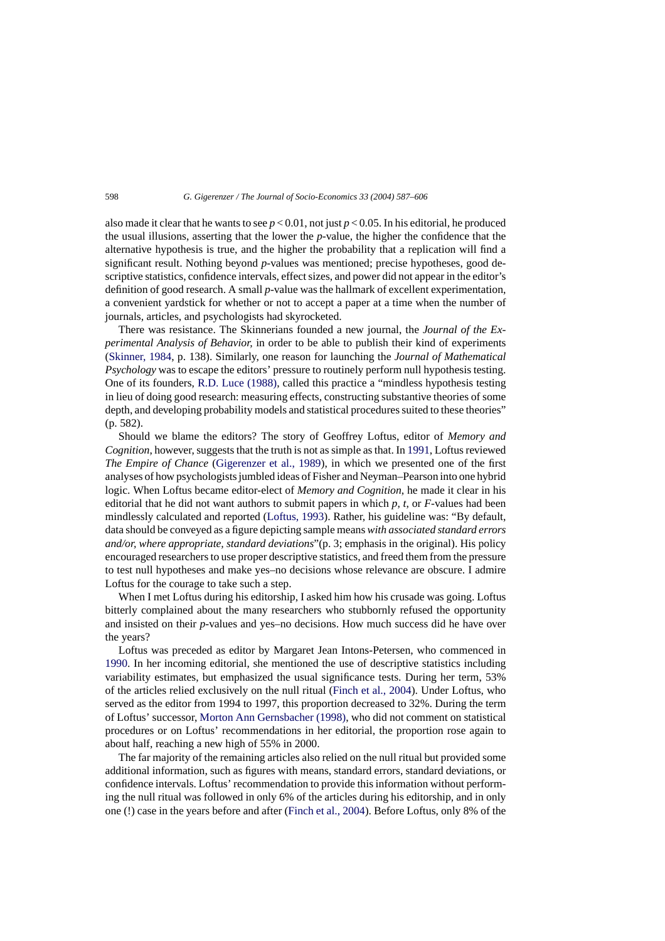also made it clear that he wants to see  $p < 0.01$ , not just  $p < 0.05$ . In his editorial, he produced the usual illusions, asserting that the lower the *p*-value, the higher the confidence that the alternative hypothesis is true, and the higher the probability that a replication will find a significant result. Nothing beyond *p*-values was mentioned; precise hypotheses, good descriptive statistics, confidence intervals, effect sizes, and power did not appear in the editor's definition of good research. A small *p*-value was the hallmark of excellent experimentation, a convenient yardstick for whether or not to accept a paper at a time when the number of journals, articles, and psychologists had skyrocketed.

There was resistance. The Skinnerians founded a new journal, the *Journal of the Experimental Analysis of Behavior,* in order to be able to publish their kind of experiments [\(Skinner, 1984,](#page-19-0) p. 138). Similarly, one reason for launching the *Journal of Mathematical Psychology* was to escape the editors' pressure to routinely perform null hypothesis testing. One of its founders, [R.D. Luce \(1988\),](#page-18-0) called this practice a "mindless hypothesis testing in lieu of doing good research: measuring effects, constructing substantive theories of some depth, and developing probability models and statistical procedures suited to these theories" (p. 582).

Should we blame the editors? The story of Geoffrey Loftus, editor of *Memoryand Cognition*, however, suggests that the truth is not as simple as that. In [1991, L](#page-18-0)oftus reviewed *The Empire of Chance* [\(Gigerenzer et al., 1989\)](#page-18-0), in which we presented one of the first analyses of how psychologists jumbled ideas of Fisher and Neyman–Pearson into one hybrid logic. When Loftus became editor-elect of *Memoryand Cognition*, he made it clear in his editorial that he did not want authors to submit papers in which *p*, *t*, or *F*-values had been mindlessly calculated and reported ([Loftus, 1993\).](#page-18-0) Rather, his guideline was: "By default, data should be conveyed as a figure depicting sample means *with associated standard errors and/or, where appropriate, standard deviations*"(p. 3; emphasis in the original). His policy encouraged researchers to use proper descriptive statistics, and freed them from the pressure to test null hypotheses and make yes–no decisions whose relevance are obscure. I admire Loftus for the courage to take such a step.

When I met Loftus during his editorship, I asked him how his crusade was going. Loftus bitterly complained about the many researchers who stubbornly refused the opportunity and insisted on their *p*-values and yes–no decisions. How much success did he have over the years?

Loftus was preceded as editor by Margaret Jean Intons-Petersen, who commenced in [1990.](#page-18-0) In her incoming editorial, she mentioned the use of descriptive statistics including variability estimates, but emphasized the usual significance tests. During her term, 53% of the articles relied exclusively on the null ritual ([Finch et al., 2004\).](#page-17-0) Under Loftus, who served as the editor from 1994 to 1997, this proportion decreased to 32%. During the term of Loftus' successor, [Morton Ann Gernsbacher \(1998\), w](#page-17-0)ho did not comment on statistical procedures or on Loftus' recommendations in her editorial, the proportion rose again to about half, reaching a new high of 55% in 2000.

The far majority of the remaining articles also relied on the null ritual but provided some additional information, such as figures with means, standard errors, standard deviations, or confidence intervals. Loftus' recommendation to provide this information without performing the null ritual was followed in only 6% of the articles during his editorship, and in only one (!) case in the years before and after ([Finch et al., 2004\).](#page-17-0) Before Loftus, only 8% of the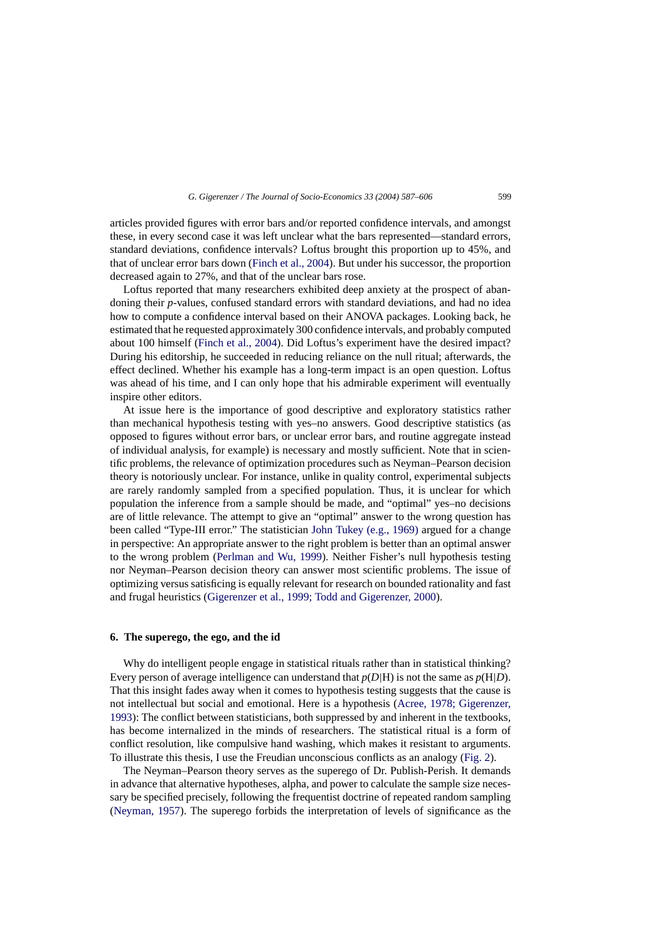articles provided figures with error bars and/or reported confidence intervals, and amongst these, in every second case it was left unclear what the bars represented––standard errors, standard deviations, confidence intervals? Loftus brought this proportion up to 45%, and that of unclear error bars down ([Finch et al., 2004\).](#page-17-0) But under his successor, the proportion decreased again to 27%, and that of the unclear bars rose.

Loftus reported that many researchers exhibited deep anxiety at the prospect of abandoning their *p*-values, confused standard errors with standard deviations, and had no idea how to compute a confidence interval based on their ANOVA packages. Looking back, he estimated that he requested approximately 300 confidence intervals, and probably computed about 100 himself [\(Finch et al., 2004\).](#page-17-0) Did Loftus's experiment have the desired impact? During his editorship, he succeeded in reducing reliance on the null ritual; afterwards, the effect declined. Whether his example has a long-term impact is an open question. Loftus was ahead of his time, and I can only hope that his admirable experiment will eventually inspire other editors.

At issue here is the importance of good descriptive and exploratory statistics rather than mechanical hypothesis testing with yes–no answers. Good descriptive statistics (as opposed to figures without error bars, or unclear error bars, and routine aggregate instead of individual analysis, for example) is necessary and mostly sufficient. Note that in scientific problems, the relevance of optimization procedures such as Neyman–Pearson decision theory is notoriously unclear. For instance, unlike in quality control, experimental subjects are rarely randomly sampled from a specified population. Thus, it is unclear for which population the inference from a sample should be made, and "optimal" yes–no decisions are of little relevance. The attempt to give an "optimal" answer to the wrong question has been called "Type-III error." The statistician [John Tukey \(e.g., 1969\)](#page-19-0) argued for a change in perspective: An appropriate answer to the right problem is better than an optimal answer to the wrong problem [\(Perlman and Wu, 1999\)](#page-18-0). Neither Fisher's null hypothesis testing nor Neyman–Pearson decision theory can answer most scientific problems. The issue of optimizing versus satisficing is equally relevant for research on bounded rationality and fast and frugal heuristics ([Gigerenzer et al., 1999; Todd and Gigerenzer, 2000\).](#page-18-0)

#### **6. The superego, the ego, and the id**

Why do intelligent people engage in statistical rituals rather than in statistical thinking? Every person of average intelligence can understand that  $p(D|H)$  is not the same as  $p(H|D)$ . That this insight fades away when it comes to hypothesis testing suggests that the cause is not intellectual but social and emotional. Here is a hypothesis ([Acree, 1978; Gigerenzer,](#page-17-0) [1993\):](#page-17-0) The conflict between statisticians, both suppressed by and inherent in the textbooks, has become internalized in the minds of researchers. The statistical ritual is a form of conflict resolution, like compulsive hand washing, which makes it resistant to arguments. To illustrate this thesis, I use the Freudian unconscious conflicts as an analogy [\(Fig. 2\).](#page-13-0)

The Neyman–Pearson theory serves as the superego of Dr. Publish-Perish. It demands in advance that alternative hypotheses, alpha, and power to calculate the sample size necessary be specified precisely, following the frequentist doctrine of repeated random sampling ([Neyman, 1957\).](#page-18-0) The superego forbids the interpretation of levels of significance as the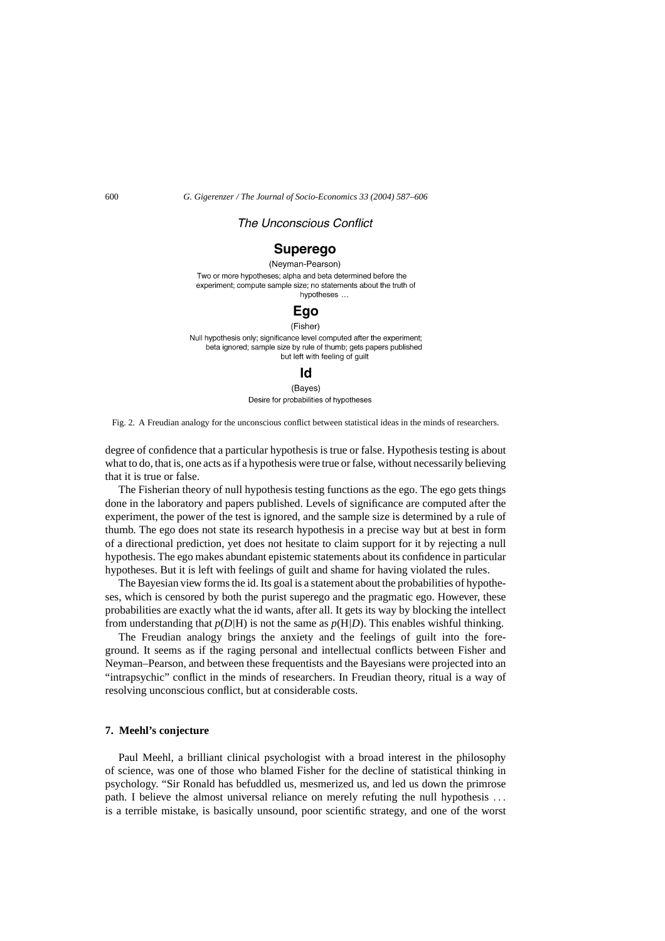**The Unconscious Conflict** 

## **Superego**

(Neyman-Pearson)

<span id="page-13-0"></span>Two or more hypotheses; alpha and beta determined before the experiment; compute sample size; no statements about the truth of hypotheses ...

## Ego

(Fisher) Null hypothesis only; significance level computed after the experiment; beta ignored; sample size by rule of thumb; gets papers published but left with feeling of guilt

## ld

(Bayes) Desire for probabilities of hypotheses

Fig. 2. A Freudian analogy for the unconscious conflict between statistical ideas in the minds of researchers.

degree of confidence that a particular hypothesis is true or false. Hypothesis testing is about what to do, that is, one acts as if a hypothesis were true or false, without necessarily believing that it is true or false.

The Fisherian theory of null hypothesis testing functions as the ego. The ego gets things done in the laboratory and papers published. Levels of significance are computed after the experiment, the power of the test is ignored, and the sample size is determined by a rule of thumb. The ego does not state its research hypothesis in a precise way but at best in form of a directional prediction, yet does not hesitate to claim support for it by rejecting a null hypothesis. The ego makes abundant epistemic statements about its confidence in particular hypotheses. But it is left with feelings of guilt and shame for having violated the rules.

The Bayesian view forms the id. Its goal is a statement about the probabilities of hypotheses, which is censored by both the purist superego and the pragmatic ego. However, these probabilities are exactly what the id wants, after all. It gets its way by blocking the intellect from understanding that  $p(D|H)$  is not the same as  $p(H|D)$ . This enables wishful thinking.

The Freudian analogy brings the anxiety and the feelings of guilt into the foreground. It seems as if the raging personal and intellectual conflicts between Fisher and Neyman–Pearson, and between these frequentists and the Bayesians were projected into an "intrapsychic" conflict in the minds of researchers. In Freudian theory, ritual is a way of resolving unconscious conflict, but at considerable costs.

#### **7. Meehl's conjecture**

Paul Meehl, a brilliant clinical psychologist with a broad interest in the philosophy of science, was one of those who blamed Fisher for the decline of statistical thinking in psychology. "Sir Ronald has befuddled us, mesmerized us, and led us down the primrose path. I believe the almost universal reliance on merely refuting the null hypothesis ... is a terrible mistake, is basically unsound, poor scientific strategy, and one of the worst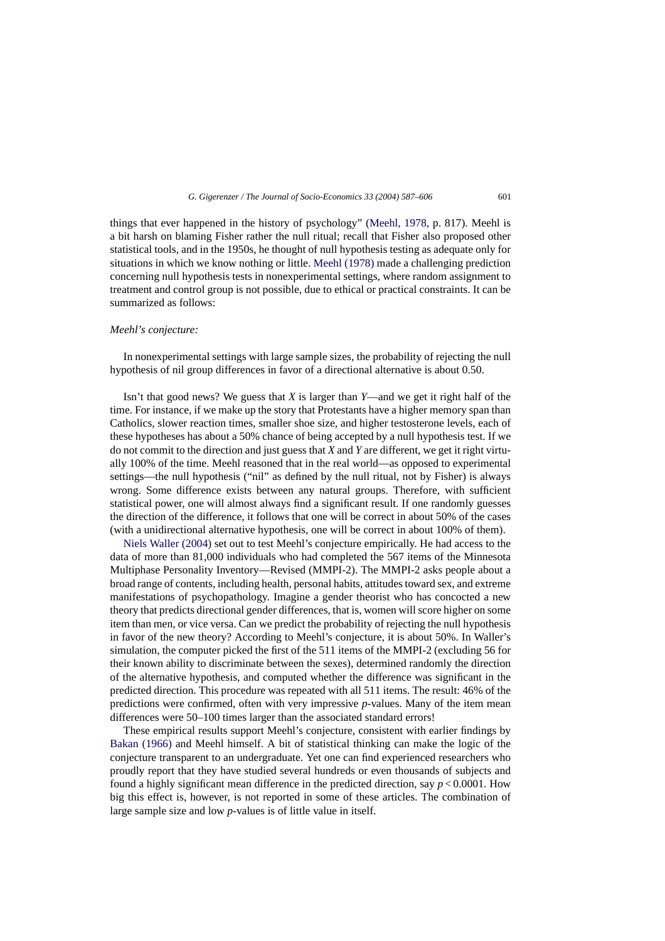things that ever happened in the history of psychology" ([Meehl, 1978,](#page-18-0) p. 817). Meehl is a bit harsh on blaming Fisher rather the null ritual; recall that Fisher also proposed other statistical tools, and in the 1950s, he thought of null hypothesis testing as adequate only for situations in which we know nothing or little. [Meehl \(1978\)](#page-18-0) made a challenging prediction concerning null hypothesis tests in nonexperimental settings, where random assignment to treatment and control group is not possible, due to ethical or practical constraints. It can be summarized as follows:

## *Meehl's conjecture:*

In nonexperimental settings with large sample sizes, the probability of rejecting the null hypothesis of nil group differences in favor of a directional alternative is about 0.50.

Isn't that good news? We guess that *X* is larger than *Y*—and we get it right half of the time. For instance, if we make up the story that Protestants have a higher memory span than Catholics, slower reaction times, smaller shoe size, and higher testosterone levels, each of these hypotheses has about a 50% chance of being accepted by a null hypothesis test. If we do not commit to the direction and just guess that *X* and *Y* are different, we get it right virtually 100% of the time. Meehl reasoned that in the real world––as opposed to experimental settings––the null hypothesis ("nil" as defined by the null ritual, not by Fisher) is always wrong. Some difference exists between any natural groups. Therefore, with sufficient statistical power, one will almost always find a significant result. If one randomly guesses the direction of the difference, it follows that one will be correct in about 50% of the cases (with a unidirectional alternative hypothesis, one will be correct in about 100% of them).

[Niels Waller \(2004\)](#page-19-0) set out to test Meehl's conjecture empirically. He had access to the data of more than 81,000 individuals who had completed the 567 items of the Minnesota Multiphase Personality Inventory—Revised (MMPI-2). The MMPI-2 asks people about a broad range of contents, including health, personal habits, attitudes toward sex, and extreme manifestations of psychopathology. Imagine a gender theorist who has concocted a new theory that predicts directional gender differences, that is, women will score higher on some item than men, or vice versa. Can we predict the probability of rejecting the null hypothesis in favor of the new theory? According to Meehl's conjecture, it is about 50%. In Waller's simulation, the computer picked the first of the 511 items of the MMPI-2 (excluding 56 for their known ability to discriminate between the sexes), determined randomly the direction of the alternative hypothesis, and computed whether the difference was significant in the predicted direction. This procedure was repeated with all 511 items. The result: 46% of the predictions were confirmed, often with very impressive *p*-values. Many of the item mean differences were 50–100 times larger than the associated standard errors!

These empirical results support Meehl's conjecture, consistent with earlier findings by [Bakan \(1966\)](#page-17-0) and Meehl himself. A bit of statistical thinking can make the logic of the conjecture transparent to an undergraduate. Yet one can find experienced researchers who proudly report that they have studied several hundreds or even thousands of subjects and found a highly significant mean difference in the predicted direction, say  $p < 0.0001$ . How big this effect is, however, is not reported in some of these articles. The combination of large sample size and low *p*-values is of little value in itself.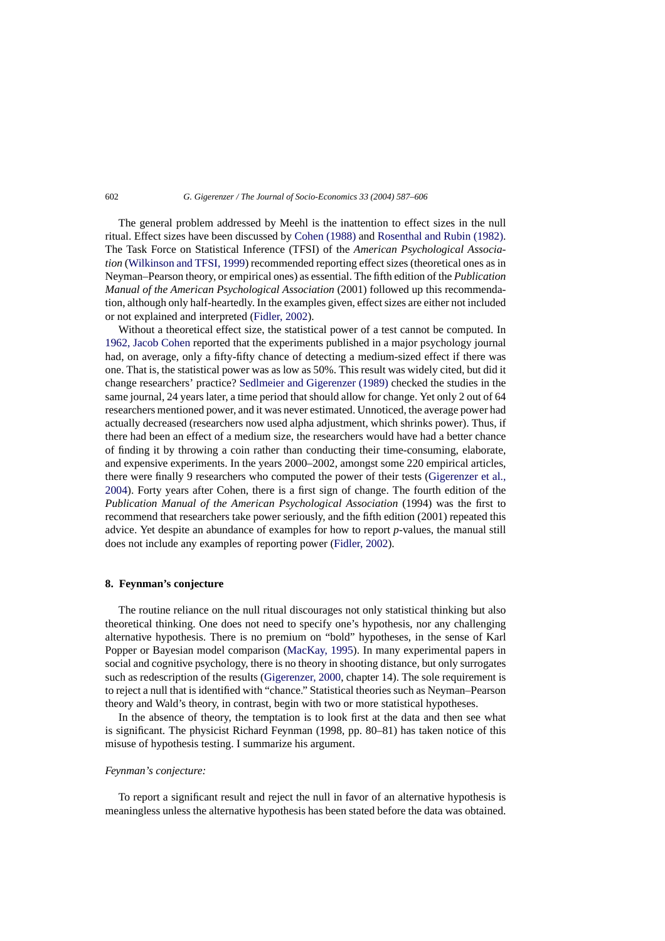The general problem addressed by Meehl is the inattention to effect sizes in the null ritual. Effect sizes have been discussed by [Cohen \(1988\)](#page-17-0) and [Rosenthal and Rubin \(1982\).](#page-19-0) The Task Force on Statistical Inference (TFSI) of the *American Psychological Association* ([Wilkinson and TFSI, 1999\) r](#page-19-0)ecommended reporting effect sizes (theoretical ones as in Neyman–Pearson theory, or empirical ones) as essential. The fifth edition of the *Publication Manual of the American Psychological Association* (2001) followed up this recommendation, although only half-heartedly. In the examples given, effect sizes are either not included or not explained and interpreted [\(Fidler, 2002\).](#page-17-0)

Without a theoretical effect size, the statistical power of a test cannot be computed. In [1962, Jacob Cohen](#page-17-0) reported that the experiments published in a major psychology journal had, on average, only a fifty-fifty chance of detecting a medium-sized effect if there was one. That is, the statistical power was as low as 50%. This result was widely cited, but did it change researchers' practice? [Sedlmeier and Gigerenzer \(1989\)](#page-19-0) checked the studies in the same journal, 24 years later, a time period that should allow for change. Yet only 2 out of 64 researchers mentioned power, and it was never estimated. Unnoticed, the average power had actually decreased (researchers now used alpha adjustment, which shrinks power). Thus, if there had been an effect of a medium size, the researchers would have had a better chance of finding it by throwing a coin rather than conducting their time-consuming, elaborate, and expensive experiments. In the years 2000–2002, amongst some 220 empirical articles, there were finally 9 researchers who computed the power of their tests [\(Gigerenzer et al.,](#page-18-0) [2004\).](#page-18-0) Forty years after Cohen, there is a first sign of change. The fourth edition of the *Publication Manual of the American Psychological Association* (1994) was the first to recommend that researchers take power seriously, and the fifth edition (2001) repeated this advice. Yet despite an abundance of examples for how to report *p*-values, the manual still does not include any examples of reporting power ([Fidler, 2002\).](#page-17-0)

## **8. Feynman's conjecture**

The routine reliance on the null ritual discourages not only statistical thinking but also theoretical thinking. One does not need to specify one's hypothesis, nor any challenging alternative hypothesis. There is no premium on "bold" hypotheses, in the sense of Karl Popper or Bayesian model comparison ([MacKay, 1995\).](#page-18-0) In many experimental papers in social and cognitive psychology, there is no theory in shooting distance, but only surrogates such as redescription of the results [\(Gigerenzer, 2000, c](#page-18-0)hapter 14). The sole requirement is to reject a null that is identified with "chance." Statistical theories such as Neyman–Pearson theory and Wald's theory, in contrast, begin with two or more statistical hypotheses.

In the absence of theory, the temptation is to look first at the data and then see what is significant. The physicist Richard Feynman (1998, pp. 80–81) has taken notice of this misuse of hypothesis testing. I summarize his argument.

#### *Feynman's conjecture:*

To report a significant result and reject the null in favor of an alternative hypothesis is meaningless unless the alternative hypothesis has been stated before the data was obtained.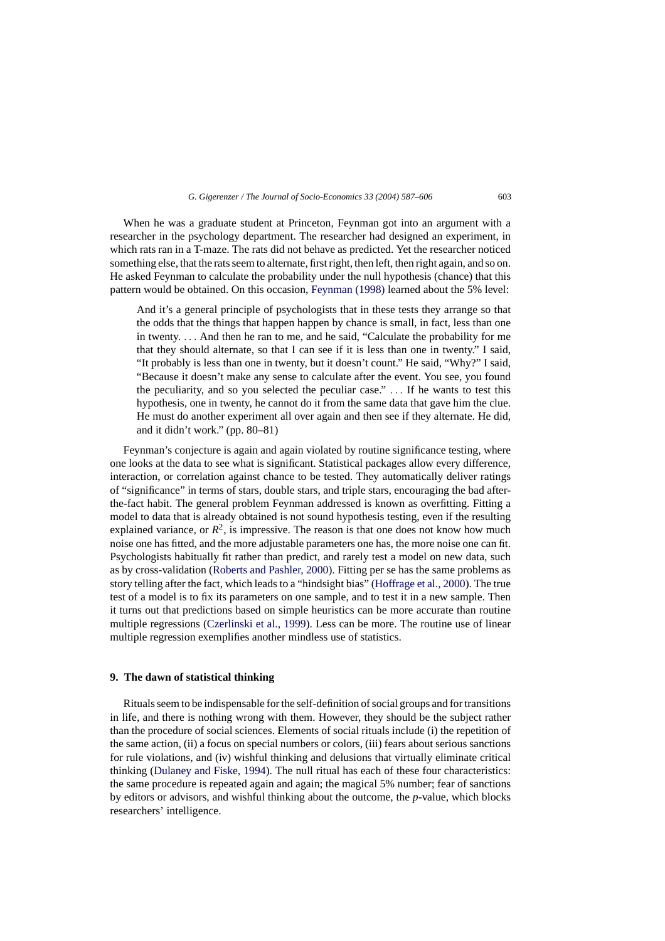When he was a graduate student at Princeton, Feynman got into an argument with a researcher in the psychology department. The researcher had designed an experiment, in which rats ran in a T-maze. The rats did not behave as predicted. Yet the researcher noticed something else, that the rats seem to alternate, first right, then left, then right again, and so on. He asked Feynman to calculate the probability under the null hypothesis (chance) that this pattern would be obtained. On this occasion, [Feynman \(1998\)](#page-17-0) learned about the 5% level:

And it's a general principle of psychologists that in these tests they arrange so that the odds that the things that happen happen by chance is small, in fact, less than one in twenty. ... And then he ran to me, and he said, "Calculate the probability for me that they should alternate, so that I can see if it is less than one in twenty." I said, "It probably is less than one in twenty, but it doesn't count." He said, "Why?" I said, "Because it doesn't make any sense to calculate after the event. You see, you found the peculiarity, and so you selected the peculiar case." ... If he wants to test this hypothesis, one in twenty, he cannot do it from the same data that gave him the clue. He must do another experiment all over again and then see if they alternate. He did, and it didn't work." (pp. 80–81)

Feynman's conjecture is again and again violated by routine significance testing, where one looks at the data to see what is significant. Statistical packages allow every difference, interaction, or correlation against chance to be tested. They automatically deliver ratings of "significance" in terms of stars, double stars, and triple stars, encouraging the bad afterthe-fact habit. The general problem Feynman addressed is known as overfitting. Fitting a model to data that is already obtained is not sound hypothesis testing, even if the resulting explained variance, or  $R^2$ , is impressive. The reason is that one does not know how much noise one has fitted, and the more adjustable parameters one has, the more noise one can fit. Psychologists habitually fit rather than predict, and rarely test a model on new data, such as by cross-validation [\(Roberts and Pashler, 2000\).](#page-19-0) Fitting per se has the same problems as story telling after the fact, which leads to a "hindsight bias" [\(Hoffrage et al., 2000\).](#page-18-0) The true test of a model is to fix its parameters on one sample, and to test it in a new sample. Then it turns out that predictions based on simple heuristics can be more accurate than routine multiple regressions [\(Czerlinski et al., 1999\).](#page-17-0) Less can be more. The routine use of linear multiple regression exemplifies another mindless use of statistics.

## **9. The dawn of statistical thinking**

Rituals seem to be indispensable for the self-definition of social groups and for transitions in life, and there is nothing wrong with them. However, they should be the subject rather than the procedure of social sciences. Elements of social rituals include (i) the repetition of the same action, (ii) a focus on special numbers or colors, (iii) fears about serious sanctions for rule violations, and (iv) wishful thinking and delusions that virtually eliminate critical thinking ([Dulaney and Fiske, 1994\).](#page-17-0) The null ritual has each of these four characteristics: the same procedure is repeated again and again; the magical 5% number; fear of sanctions by editors or advisors, and wishful thinking about the outcome, the *p*-value, which blocks researchers' intelligence.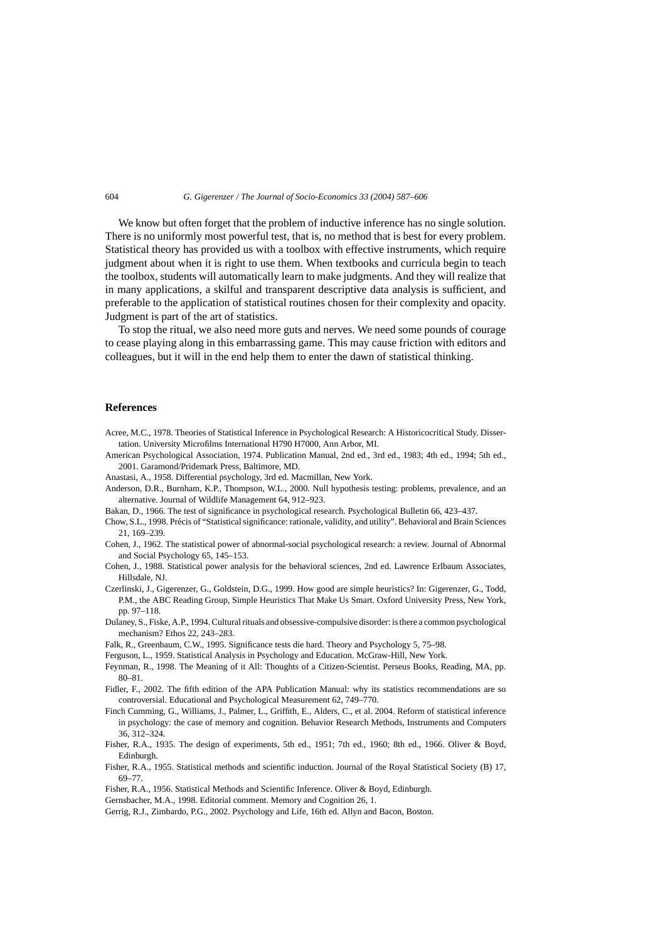<span id="page-17-0"></span>We know but often forget that the problem of inductive inference has no single solution. There is no uniformly most powerful test, that is, no method that is best for every problem. Statistical theory has provided us with a toolbox with effective instruments, which require judgment about when it is right to use them. When textbooks and curricula begin to teach the toolbox, students will automatically learn to make judgments. And they will realize that in many applications, a skilful and transparent descriptive data analysis is sufficient, and preferable to the application of statistical routines chosen for their complexity and opacity. Judgment is part of the art of statistics.

To stop the ritual, we also need more guts and nerves. We need some pounds of courage to cease playing along in this embarrassing game. This may cause friction with editors and colleagues, but it will in the end help them to enter the dawn of statistical thinking.

## **References**

- Acree, M.C., 1978. Theories of Statistical Inference in Psychological Research: A Historicocritical Study. Dissertation. University Microfilms International H790 H7000, Ann Arbor, MI.
- American Psychological Association, 1974. Publication Manual, 2nd ed., 3rd ed., 1983; 4th ed., 1994; 5th ed., 2001. Garamond/Pridemark Press, Baltimore, MD.
- Anastasi, A., 1958. Differential psychology, 3rd ed. Macmillan, New York.
- Anderson, D.R., Burnham, K.P., Thompson, W.L., 2000. Null hypothesis testing: problems, prevalence, and an alternative. Journal of Wildlife Management 64, 912–923.
- Bakan, D., 1966. The test of significance in psychological research. Psychological Bulletin 66, 423–437.
- Chow, S.L., 1998. Precis of "Statistical significance: rationale, validity, and utility". Behavioral and Brain Sciences ´ 21, 169–239.
- Cohen, J., 1962. The statistical power of abnormal-social psychological research: a review. Journal of Abnormal and Social Psychology 65, 145–153.
- Cohen, J., 1988. Statistical power analysis for the behavioral sciences, 2nd ed. Lawrence Erlbaum Associates, Hillsdale, NJ.
- Czerlinski, J., Gigerenzer, G., Goldstein, D.G., 1999. How good are simple heuristics? In: Gigerenzer, G., Todd, P.M., the ABC Reading Group, Simple Heuristics That Make Us Smart. Oxford University Press, New York, pp. 97–118.
- Dulaney, S., Fiske, A.P., 1994. Cultural rituals and obsessive-compulsive disorder: is there a common psychological mechanism? Ethos 22, 243–283.
- Falk, R., Greenbaum, C.W., 1995. Significance tests die hard. Theory and Psychology 5, 75–98.
- Ferguson, L., 1959. Statistical Analysis in Psychology and Education. McGraw-Hill, New York.
- Feynman, R., 1998. The Meaning of it All: Thoughts of a Citizen-Scientist. Perseus Books, Reading, MA, pp. 80–81.
- Fidler, F., 2002. The fifth edition of the APA Publication Manual: why its statistics recommendations are so controversial. Educational and Psychological Measurement 62, 749–770.
- Finch Cumming, G., Williams, J., Palmer, L., Griffith, E., Alders, C., et al. 2004. Reform of statistical inference in psychology: the case of memory and cognition. Behavior Research Methods, Instruments and Computers 36, 312–324.
- Fisher, R.A., 1935. The design of experiments, 5th ed., 1951; 7th ed., 1960; 8th ed., 1966. Oliver & Boyd, Edinburgh.
- Fisher, R.A., 1955. Statistical methods and scientific induction. Journal of the Royal Statistical Society (B) 17, 69–77.
- Fisher, R.A., 1956. Statistical Methods and Scientific Inference. Oliver & Boyd, Edinburgh.
- Gernsbacher, M.A., 1998. Editorial comment. Memory and Cognition 26, 1.
- Gerrig, R.J., Zimbardo, P.G., 2002. Psychology and Life, 16th ed. Allyn and Bacon, Boston.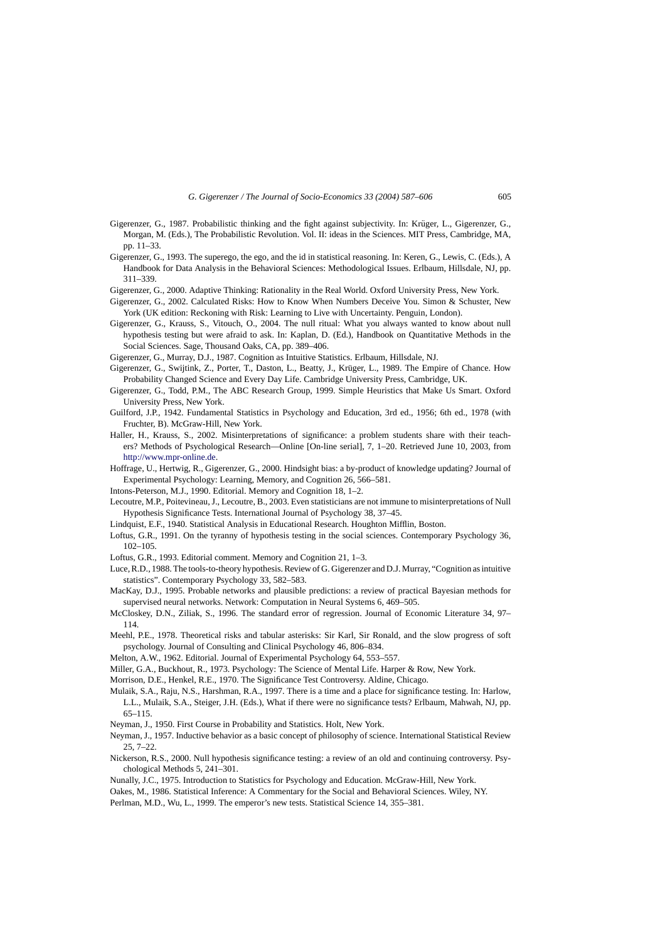- <span id="page-18-0"></span>Gigerenzer, G., 1987. Probabilistic thinking and the fight against subjectivity. In: Krüger, L., Gigerenzer, G., Morgan, M. (Eds.), The Probabilistic Revolution. Vol. II: ideas in the Sciences. MIT Press, Cambridge, MA, pp. 11–33.
- Gigerenzer, G., 1993. The superego, the ego, and the id in statistical reasoning. In: Keren, G., Lewis, C. (Eds.), A Handbook for Data Analysis in the Behavioral Sciences: Methodological Issues. Erlbaum, Hillsdale, NJ, pp. 311–339.
- Gigerenzer, G., 2000. Adaptive Thinking: Rationality in the Real World. Oxford University Press, New York.
- Gigerenzer, G., 2002. Calculated Risks: How to Know When Numbers Deceive You. Simon & Schuster, New York (UK edition: Reckoning with Risk: Learning to Live with Uncertainty. Penguin, London).
- Gigerenzer, G., Krauss, S., Vitouch, O., 2004. The null ritual: What you always wanted to know about null hypothesis testing but were afraid to ask. In: Kaplan, D. (Ed.), Handbook on Quantitative Methods in the Social Sciences. Sage, Thousand Oaks, CA, pp. 389–406.
- Gigerenzer, G., Murray, D.J., 1987. Cognition as Intuitive Statistics. Erlbaum, Hillsdale, NJ.
- Gigerenzer, G., Swijtink, Z., Porter, T., Daston, L., Beatty, J., Krüger, L., 1989. The Empire of Chance. How Probability Changed Science and Every Day Life. Cambridge University Press, Cambridge, UK.
- Gigerenzer, G., Todd, P.M., The ABC Research Group, 1999. Simple Heuristics that Make Us Smart. Oxford University Press, New York.
- Guilford, J.P., 1942. Fundamental Statistics in Psychology and Education, 3rd ed., 1956; 6th ed., 1978 (with Fruchter, B). McGraw-Hill, New York.
- Haller, H., Krauss, S., 2002. Misinterpretations of significance: a problem students share with their teachers? Methods of Psychological Research—Online [On-line serial], 7, 1–20. Retrieved June 10, 2003, from [http://www.mpr-online.de.](http://www.mpr-online.de/)
- Hoffrage, U., Hertwig, R., Gigerenzer, G., 2000. Hindsight bias: a by-product of knowledge updating? Journal of Experimental Psychology: Learning, Memory, and Cognition 26, 566–581.
- Intons-Peterson, M.J., 1990. Editorial. Memory and Cognition 18, 1–2.
- Lecoutre, M.P., Poitevineau, J., Lecoutre, B., 2003. Even statisticians are not immune to misinterpretations of Null Hypothesis Significance Tests. International Journal of Psychology 38, 37–45.
- Lindquist, E.F., 1940. Statistical Analysis in Educational Research. Houghton Mifflin, Boston.
- Loftus, G.R., 1991. On the tyranny of hypothesis testing in the social sciences. Contemporary Psychology 36, 102–105.
- Loftus, G.R., 1993. Editorial comment. Memory and Cognition 21, 1–3.
- Luce, R.D., 1988. The tools-to-theory hypothesis. Review of G. Gigerenzer and D.J. Murray, "Cognition as intuitive statistics". Contemporary Psychology 33, 582–583.
- MacKay, D.J., 1995. Probable networks and plausible predictions: a review of practical Bayesian methods for supervised neural networks. Network: Computation in Neural Systems 6, 469–505.
- McCloskey, D.N., Ziliak, S., 1996. The standard error of regression. Journal of Economic Literature 34, 97– 114.
- Meehl, P.E., 1978. Theoretical risks and tabular asterisks: Sir Karl, Sir Ronald, and the slow progress of soft psychology. Journal of Consulting and Clinical Psychology 46, 806–834.
- Melton, A.W., 1962. Editorial. Journal of Experimental Psychology 64, 553–557.
- Miller, G.A., Buckhout, R., 1973. Psychology: The Science of Mental Life. Harper & Row, New York.
- Morrison, D.E., Henkel, R.E., 1970. The Significance Test Controversy. Aldine, Chicago.
- Mulaik, S.A., Raju, N.S., Harshman, R.A., 1997. There is a time and a place for significance testing. In: Harlow, L.L., Mulaik, S.A., Steiger, J.H. (Eds.), What if there were no significance tests? Erlbaum, Mahwah, NJ, pp. 65–115.
- Neyman, J., 1950. First Course in Probability and Statistics. Holt, New York.
- Neyman, J., 1957. Inductive behavior as a basic concept of philosophy of science. International Statistical Review 25, 7–22.
- Nickerson, R.S., 2000. Null hypothesis significance testing: a review of an old and continuing controversy. Psychological Methods 5, 241–301.
- Nunally, J.C., 1975. Introduction to Statistics for Psychology and Education. McGraw-Hill, New York.
- Oakes, M., 1986. Statistical Inference: A Commentary for the Social and Behavioral Sciences. Wiley, NY.
- Perlman, M.D., Wu, L., 1999. The emperor's new tests. Statistical Science 14, 355–381.